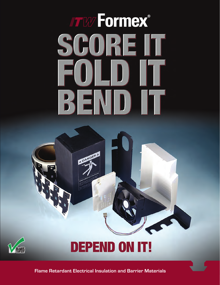# TW Formex® SCOREIT FOLDU BENDIT





# **DEPEND ON IT!**

**Flame Retardant Electrical Insulation and Barrier Materials**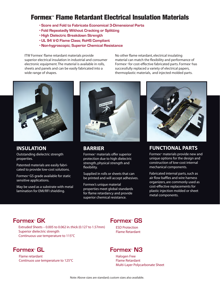# Formex™ Flame Retardant Electrical Insulation Materials

- **Score and Fold to Fabricate Economical 3-Dimensional Parts**
- **Fold Repeatedly Without Cracking or Splitting**
- **High Dielectric Breakdown Strength**
- **UL 94 V-0 Flame Class; RoHS Compliant**
- **Non-hygroscopic; Superior Chemical Resistance**

ITW Formex® flame retardant materials provide superior electrical insulation in industrial and consumer electronic equipment. The material is available in rolls, sheets and panels and can be easily fabricated into a wide range of shapes.

No other flame retardant, electrical insulating material can match the flexibility and performance of Formex<sup>™</sup> for cost-effective fabricated parts. Formex<sup>™</sup> has successfully replaced a variety of electrical papers, thermoplastic materials, and injected molded parts.



**INSULATION** Outstanding dielectric strength

properties.

Patented materials are easily fabricated to provide low-cost solutions.

Formex<sup>™</sup>GS grade available for static sensitive applications.

May be used as a substrate with metal lamination for EMI/RFI shielding.



**BARRIER**

Formex<sup> $M$ </sup> materials offer superior protection due to high dielectric strength, physical strength and flexibility.

Supplied in rolls or sheets that can be printed and will accept adhesives.

Formex's unique material properties meet global standards for flame retardancy and provide superior chemical resistance.

![](_page_1_Picture_18.jpeg)

**FUNCTIONAL PARTS**

Formex<sup>™</sup> materials provide new and unique options for the design and construction of low-cost internal mechanical components.

Fabricated internal parts, such as air flow baffles and wire harness organizers, are commonly used as cost-effective replacements for plastic injection molded or sheet metal components.

Extruded Sheets – 0.005 to 0.062 in. thick (0.127 to 1.57mm) Superior dielectric strength Continuous use temperature to 115°C

#### **Formex™**

Flame retardant Continuos use temperature to 125°C

#### **Formex™ Formex<sup>™</sup> GK Formex™ GS**

ESD Protection Flame Retardant

#### **GL Formex™** N3

Halogen Free Flame Retardant Multi-Layer Polycarbonate Sheet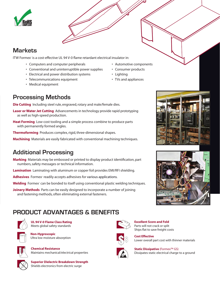![](_page_2_Picture_0.jpeg)

#### **Markets**

ITW Formex® is a cost-effective UL 94 V-0 flame retardant electrical insulator in:

- Computers and computer peripherals
- Conventional and uninterruptible power supplies
- Electrical and power distribution systems
- Telecommunications equipment
- Medical equipment
- Automotive components
- Consumer products
- Lighting
- TVs and appliances
- 

![](_page_2_Picture_13.jpeg)

#### **Processing Methods**

**Die Cutting** Including steel rule, engraved, rotary and male/female dies.

- **Laser or Water Jet Cutting** Advancements in technology provide rapid prototyping as well as high-speed production.
- **Heat Forming** Low-cost tooling and a simple process combine to produce parts with permanently formed angles.

**Thermoforming** Produces complex, rigid, three-dimensional shapes.

**Machining** Materials are easily fabricated with conventional machining techniques.

### **Additional Processing**

- **Marking** Materials may be embossed or printed to display product identification, part numbers, safety messages or technical information.
- **Lamination** Laminating with aluminum or copper foil provides EMI/RFI shielding.

Adhesives Formex<sup>®</sup> readily accepts adhesives for various applications.

- Welding Formex<sup>®</sup> can be bonded to itself using conventional plastic welding techniques.
- **Joinery Methods** Parts can be easily designed to incorporate a number of joining and fastening methods, often eliminating external fasteners.

# **PRODUCT ADVANTAGES & BENEFITS**

![](_page_2_Picture_27.jpeg)

**UL 94 V-0 Flame Class Rating** Meets global safety standards

![](_page_2_Picture_29.jpeg)

**Chemical Resistance** Maintains mechanical/electrical properties

![](_page_2_Picture_31.jpeg)

**Superior Dielectric Breakdown Strength**  Shields electronics from electric surge

![](_page_2_Picture_33.jpeg)

![](_page_2_Picture_34.jpeg)

#### **Cost Effective** Lower overall part cost with thinner materials

![](_page_2_Picture_36.jpeg)

**Static Dissipative** (Formex™ GS) Dissipates static electrical charge to a ground